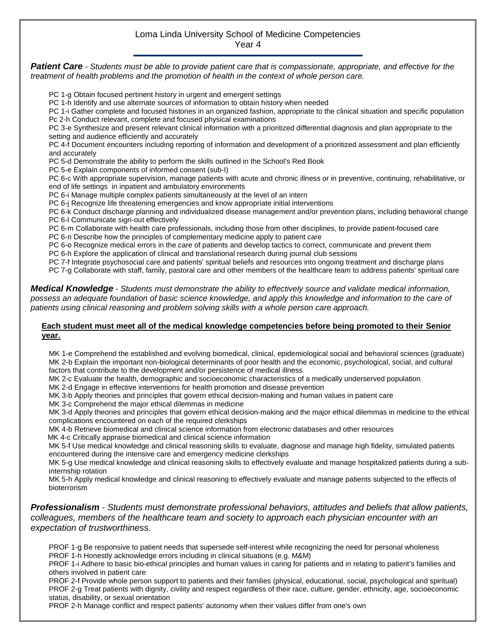## Loma Linda University School of Medicine Competencies Year 4

*Patient Care - Students must be able to provide patient care that is compassionate, appropriate, and effective for the treatment of health problems and the promotion of health in the context of whole person care.*

PC 1-g Obtain focused pertinent history in urgent and emergent settings

PC 1-h Identify and use alternate sources of information to obtain history when needed

PC 1-i Gather complete and focused histories in an organized fashion, appropriate to the clinical situation and specific population Pc 2-h Conduct relevant, complete and focused physical examinations

PC 3-e Synthesize and present relevant clinical information with a prioritized differential diagnosis and plan appropriate to the setting and audience efficiently and accurately

PC 4-f Document encounters including reporting of information and development of a prioritized assessment and plan efficiently and accurately

PC 5-d Demonstrate the ability to perform the skills outlined in the School's Red Book

PC 5-e Explain components of informed consent (sub-I)

PC 6-c With appropriate supervision, manage patients with acute and chronic illness or in preventive, continuing, rehabilitative, or end of life settings in inpatient and ambulatory environments

PC 6-i Manage multiple complex patients simultaneously at the level of an intern

PC 6-j Recognize life threatening emergencies and know appropriate initial interventions

PC 6-k Conduct discharge planning and individualized disease management and/or prevention plans, including behavioral change PC 6-I Communicate sign-out effectively

PC 6-m Collaborate with health care professionals, including those from other disciplines, to provide patient-focused care PC 6-n Describe how the principles of complementary medicine apply to patient care

PC 6-o Recognize medical errors in the care of patients and develop tactics to correct, communicate and prevent them

PC 6-h Explore the application of clinical and translational research during journal club sessions

PC 7-f Integrate psychosocial care and patients' spiritual beliefs and resources into ongoing treatment and discharge plans

PC 7-g Collaborate with staff, family, pastoral care and other members of the healthcare team to address patients' spiritual care

*Medical Knowledge - Students must demonstrate the ability to effectively source and validate medical information, possess an adequate foundation of basic science knowledge, and apply this knowledge and information to the care of patients using clinical reasoning and problem solving skills with a whole person care approach.*

## **Each student must meet all of the medical knowledge competencies before being promoted to their Senior year.**

MK 1-e Comprehend the established and evolving biomedical, clinical, epidemiological social and behavioral sciences (graduate) MK 2-b Explain the important non-biological determinants of poor health and the economic, psychological, social, and cultural factors that contribute to the development and/or persistence of medical illness

MK 2-c Evaluate the health, demographic and socioeconomic characteristics of a medically underserved population

MK 2-d Engage in effective interventions for health promotion and disease prevention

MK 3-b Apply theories and principles that govern ethical decision-making and human values in patient care

MK 3-c Comprehend the major ethical dilemmas in medicine

MK 3-d Apply theories and principles that govern ethical decision-making and the major ethical dilemmas in medicine to the ethical complications encountered on each of the required clerkships

MK 4-b Retrieve biomedical and clinical science information from electronic databases and other resources

MK 4-c Critically appraise biomedical and clinical science information

MK 5-f Use medical knowledge and clinical reasoning skills to evaluate, diagnose and manage high fidelity, simulated patients encountered during the intensive care and emergency medicine clerkships

MK 5-g Use medical knowledge and clinical reasoning skills to effectively evaluate and manage hospitalized patients during a subinternship rotation

MK 5-h Apply medical knowledge and clinical reasoning to effectively evaluate and manage patients subjected to the effects of bioterrorism

*Professionalism - Students must demonstrate professional behaviors, attitudes and beliefs that allow patients, colleagues, members of the healthcare team and society to approach each physician encounter with an expectation of trustworthiness.*

PROF 1-g Be responsive to patient needs that supersede self-interest while recognizing the need for personal wholeness PROF 1-h Honestly acknowledge errors including in clinical situations (e.g. M&M)

PROF 1-i Adhere to basic bio-ethical principles and human values in caring for patients and in relating to patient's families and others involved in patient care

PROF 2-f Provide whole person support to patients and their families (physical, educational, social, psychological and spiritual) PROF 2-g Treat patients with dignity, civility and respect regardless of their race, culture, gender, ethnicity, age, socioeconomic status, disability, or sexual orientation

PROF 2-h Manage conflict and respect patients' autonomy when their values differ from one's own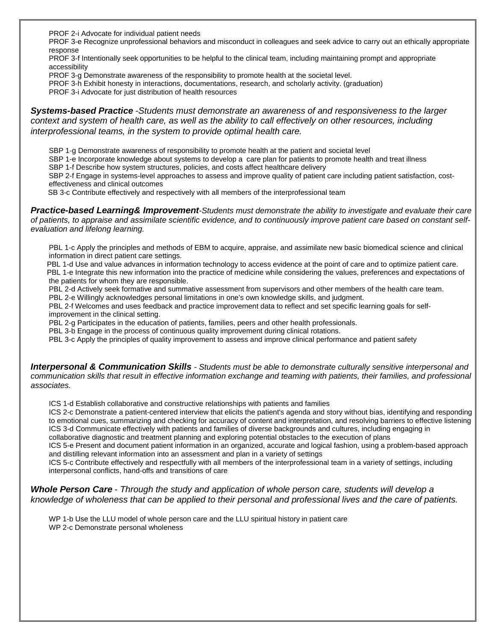PROF 2-i Advocate for individual patient needs

PROF 3-e Recognize unprofessional behaviors and misconduct in colleagues and seek advice to carry out an ethically appropriate response

PROF 3-f Intentionally seek opportunities to be helpful to the clinical team, including maintaining prompt and appropriate accessibility

- PROF 3-g Demonstrate awareness of the responsibility to promote health at the societal level.
- PROF 3-h Exhibit honesty in interactions, documentations, research, and scholarly activity. (graduation)

PROF 3-i Advocate for just distribution of health resources

## *Systems-based Practice -Students must demonstrate an awareness of and responsiveness to the larger context and system of health care, as well as the ability to call effectively on other resources, including interprofessional teams, in the system to provide optimal health care.*

SBP 1-g Demonstrate awareness of responsibility to promote health at the patient and societal level

SBP 1-e Incorporate knowledge about systems to develop a care plan for patients to promote health and treat illness

SBP 1-f Describe how system structures, policies, and costs affect healthcare delivery

SBP 2-f Engage in systems-level approaches to assess and improve quality of patient care including patient satisfaction, costeffectiveness and clinical outcomes

SB 3-c Contribute effectively and respectively with all members of the interprofessional team

*Practice-based Learning& Improvement-Students must demonstrate the ability to investigate and evaluate their care of patients, to appraise and assimilate scientific evidence, and to continuously improve patient care based on constant selfevaluation and lifelong learning.*

PBL 1-c Apply the principles and methods of EBM to acquire, appraise, and assimilate new basic biomedical science and clinical information in direct patient care settings.

 PBL 1-d Use and value advances in information technology to access evidence at the point of care and to optimize patient care. PBL 1-e Integrate this new information into the practice of medicine while considering the values, preferences and expectations of the patients for whom they are responsible.

PBL 2-d Actively seek formative and summative assessment from supervisors and other members of the health care team.

PBL 2-e Willingly acknowledges personal limitations in one's own knowledge skills, and judgment.

PBL 2-f Welcomes and uses feedback and practice improvement data to reflect and set specific learning goals for selfimprovement in the clinical setting.

PBL 2-g Participates in the education of patients, families, peers and other health professionals.

PBL 3-b Engage in the process of continuous quality improvement during clinical rotations.

PBL 3-c Apply the principles of quality improvement to assess and improve clinical performance and patient safety

*Interpersonal & Communication Skills - Students must be able to demonstrate culturally sensitive interpersonal and communication skills that result in effective information exchange and teaming with patients, their families, and professional associates.*

ICS 1-d Establish collaborative and constructive relationships with patients and families

ICS 2-c Demonstrate a patient-centered interview that elicits the patient's agenda and story without bias, identifying and responding to emotional cues, summarizing and checking for accuracy of content and interpretation, and resolving barriers to effective listening ICS 3-d Communicate effectively with patients and families of diverse backgrounds and cultures, including engaging in collaborative diagnostic and treatment planning and exploring potential obstacles to the execution of plans

ICS 5-e Present and document patient information in an organized, accurate and logical fashion, using a problem-based approach and distilling relevant information into an assessment and plan in a variety of settings

ICS 5-c Contribute effectively and respectfully with all members of the interprofessional team in a variety of settings, including interpersonal conflicts, hand-offs and transitions of care

## *Whole Person Care - Through the study and application of whole person care, students will develop a knowledge of wholeness that can be applied to their personal and professional lives and the care of patients.*

WP 1-b Use the LLU model of whole person care and the LLU spiritual history in patient care WP 2-c Demonstrate personal wholeness